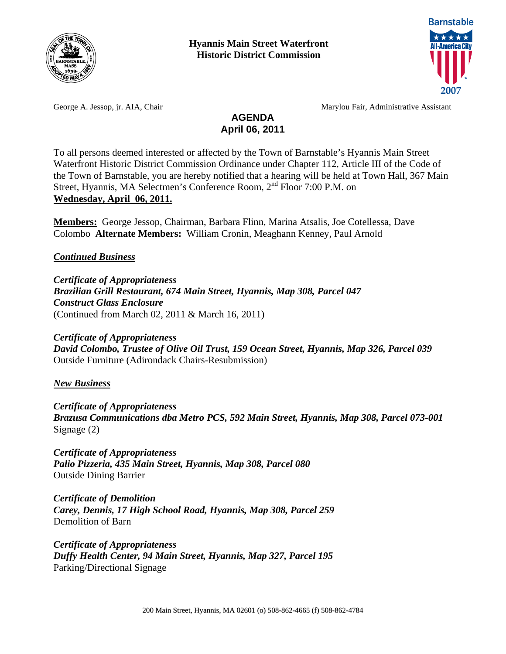

**Hyannis Main Street Waterfront Historic District Commission** 



George A. Jessop, jr. AIA, Chair Marylou Fair, Administrative Assistant

## **AGENDA April 06, 2011**

To all persons deemed interested or affected by the Town of Barnstable's Hyannis Main Street Waterfront Historic District Commission Ordinance under Chapter 112, Article III of the Code of the Town of Barnstable, you are hereby notified that a hearing will be held at Town Hall, 367 Main Street, Hyannis, MA Selectmen's Conference Room, 2<sup>nd</sup> Floor 7:00 P.M. on **Wednesday, April 06, 2011.**

**Members:** George Jessop, Chairman, Barbara Flinn, Marina Atsalis, Joe Cotellessa, Dave Colombo **Alternate Members:** William Cronin, Meaghann Kenney, Paul Arnold

*Continued Business*

*Certificate of Appropriateness Brazilian Grill Restaurant, 674 Main Street, Hyannis, Map 308, Parcel 047 Construct Glass Enclosure*  (Continued from March 02, 2011 & March 16, 2011)

*Certificate of Appropriateness David Colombo, Trustee of Olive Oil Trust, 159 Ocean Street, Hyannis, Map 326, Parcel 039*  Outside Furniture (Adirondack Chairs-Resubmission)

*New Business*

*Certificate of Appropriateness Brazusa Communications dba Metro PCS, 592 Main Street, Hyannis, Map 308, Parcel 073-001*  Signage (2)

*Certificate of Appropriateness Palio Pizzeria, 435 Main Street, Hyannis, Map 308, Parcel 080*  Outside Dining Barrier

*Certificate of Demolition Carey, Dennis, 17 High School Road, Hyannis, Map 308, Parcel 259*  Demolition of Barn

*Certificate of Appropriateness Duffy Health Center, 94 Main Street, Hyannis, Map 327, Parcel 195*  Parking/Directional Signage